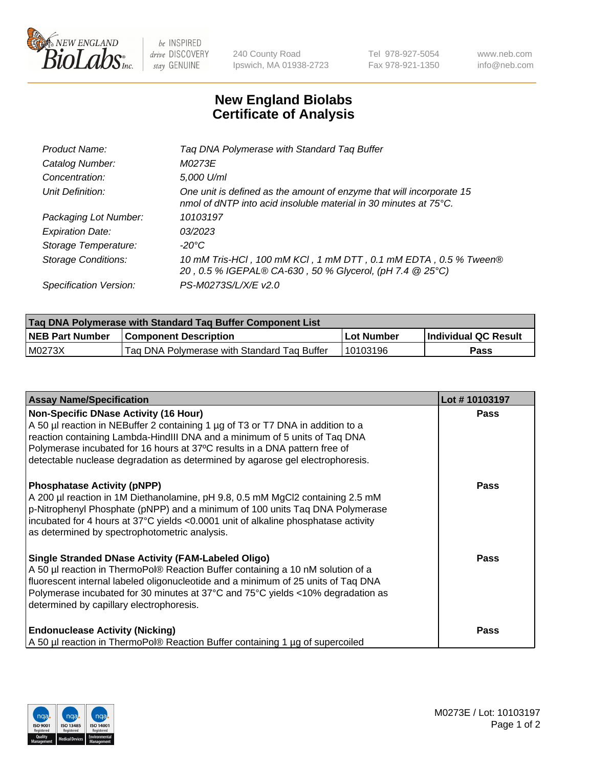

 $be$  INSPIRED drive DISCOVERY stay GENUINE

240 County Road Ipswich, MA 01938-2723 Tel 978-927-5054 Fax 978-921-1350 www.neb.com info@neb.com

## **New England Biolabs Certificate of Analysis**

| Product Name:              | Tag DNA Polymerase with Standard Tag Buffer                                                                                              |
|----------------------------|------------------------------------------------------------------------------------------------------------------------------------------|
| Catalog Number:            | M0273E                                                                                                                                   |
| Concentration:             | 5,000 U/ml                                                                                                                               |
| Unit Definition:           | One unit is defined as the amount of enzyme that will incorporate 15<br>nmol of dNTP into acid insoluble material in 30 minutes at 75°C. |
| Packaging Lot Number:      | 10103197                                                                                                                                 |
| <b>Expiration Date:</b>    | 03/2023                                                                                                                                  |
| Storage Temperature:       | $-20^{\circ}$ C                                                                                                                          |
| <b>Storage Conditions:</b> | 10 mM Tris-HCl, 100 mM KCl, 1 mM DTT, 0.1 mM EDTA, 0.5 % Tween®<br>20, 0.5 % IGEPAL® CA-630, 50 % Glycerol, (pH 7.4 @ 25°C)              |
| Specification Version:     | PS-M0273S/L/X/E v2.0                                                                                                                     |

| Tag DNA Polymerase with Standard Tag Buffer Component List |                                             |              |                      |  |
|------------------------------------------------------------|---------------------------------------------|--------------|----------------------|--|
| <b>NEB Part Number</b>                                     | <b>Component Description</b>                | l Lot Number | Individual QC Result |  |
| M0273X                                                     | Tag DNA Polymerase with Standard Tag Buffer | 10103196     | Pass                 |  |

| <b>Assay Name/Specification</b>                                                                                                                                                                                                                                                                                                                                              | Lot #10103197 |
|------------------------------------------------------------------------------------------------------------------------------------------------------------------------------------------------------------------------------------------------------------------------------------------------------------------------------------------------------------------------------|---------------|
| <b>Non-Specific DNase Activity (16 Hour)</b><br>A 50 µl reaction in NEBuffer 2 containing 1 µg of T3 or T7 DNA in addition to a<br>reaction containing Lambda-HindIII DNA and a minimum of 5 units of Taq DNA<br>Polymerase incubated for 16 hours at 37°C results in a DNA pattern free of<br>detectable nuclease degradation as determined by agarose gel electrophoresis. | <b>Pass</b>   |
| <b>Phosphatase Activity (pNPP)</b><br>A 200 µl reaction in 1M Diethanolamine, pH 9.8, 0.5 mM MgCl2 containing 2.5 mM<br>p-Nitrophenyl Phosphate (pNPP) and a minimum of 100 units Taq DNA Polymerase<br>incubated for 4 hours at 37°C yields <0.0001 unit of alkaline phosphatase activity<br>as determined by spectrophotometric analysis.                                  | <b>Pass</b>   |
| <b>Single Stranded DNase Activity (FAM-Labeled Oligo)</b><br>A 50 µl reaction in ThermoPol® Reaction Buffer containing a 10 nM solution of a<br>fluorescent internal labeled oligonucleotide and a minimum of 25 units of Taq DNA<br>Polymerase incubated for 30 minutes at 37°C and 75°C yields <10% degradation as<br>determined by capillary electrophoresis.             | <b>Pass</b>   |
| <b>Endonuclease Activity (Nicking)</b><br>A 50 µl reaction in ThermoPol® Reaction Buffer containing 1 µg of supercoiled                                                                                                                                                                                                                                                      | <b>Pass</b>   |